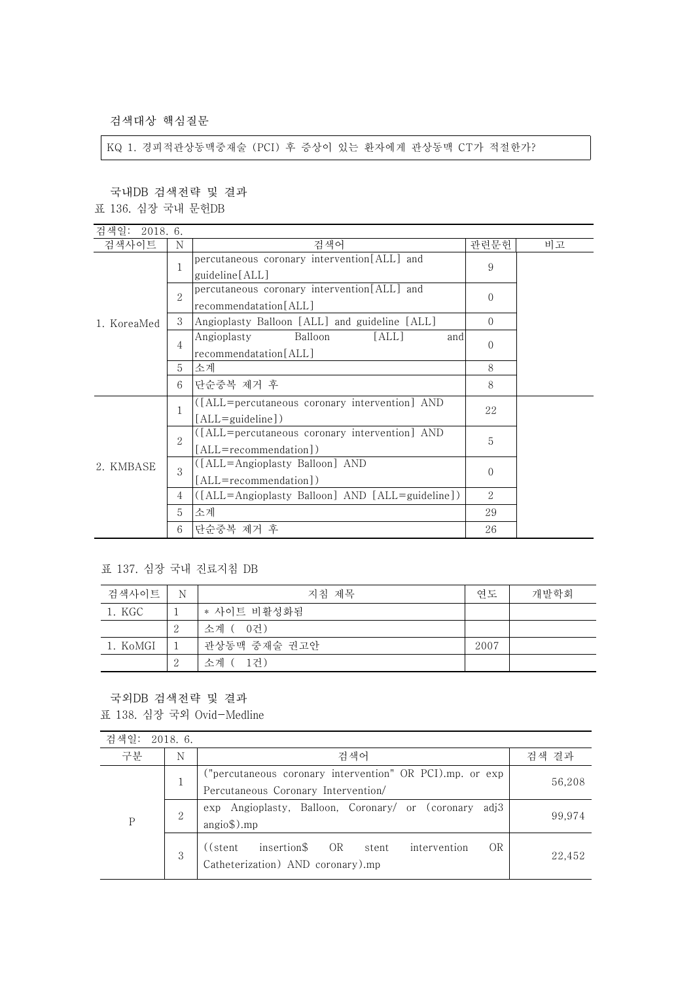검색대상 핵심질문

KQ 1. 경피적관상동맥중재술 (PCI) 후 증상이 있는 환자에게 관상동맥 CT가 적절한가?

국내DB 검색전략 및 결과

표 136. 심장 국내 문헌DB

| 검색일:<br>2018. 6. |                             |                                                 |          |    |
|------------------|-----------------------------|-------------------------------------------------|----------|----|
| 검색사이트            | N                           | 검색어                                             | 관련문헌     | 비고 |
|                  | 1                           | percutaneous coronary intervention[ALL] and     |          |    |
|                  |                             | guideline [ALL]                                 | 9        |    |
|                  | $\mathcal{D}_{\mathcal{L}}$ | percutaneous coronary intervention[ALL] and     | $\Omega$ |    |
|                  |                             | recommendatation[ALL]                           |          |    |
| 1. KoreaMed      | 3                           | Angioplasty Balloon [ALL] and guideline [ALL]   | $\Omega$ |    |
|                  |                             | Balloon<br>[ALL]<br>Angioplasty<br>and          | $\Omega$ |    |
|                  | 4                           | recommendatation[ALL]                           |          |    |
|                  | 5                           | 소계                                              | 8        |    |
|                  | 6                           | 단순중복 제거 후                                       | 8        |    |
|                  | $\mathbf{1}$                | ([ALL=percutaneous coronary intervention] AND   |          |    |
| 2. KMBASE        |                             | $[ALL = guideline]$                             | 22       |    |
|                  |                             | ([ALL=percutaneous coronary intervention] AND   | 5        |    |
|                  | 2                           | [ALL=recommendation])                           |          |    |
|                  | 3                           | ([ALL=Angioplasty Balloon] AND                  | $\Omega$ |    |
|                  |                             | [ALL=recommendation])                           |          |    |
|                  | 4                           | ([ALL=Angioplasty Balloon] AND [ALL=guideline]) | 2        |    |
|                  | 5                           | 소계                                              | 29       |    |
|                  | 6                           | 단순중복 제거 후                                       | 26       |    |

## 표 137. 심장 국내 진료지침 DB

| 검색사이트    | N  | 지침 제목        | 연도   | 개발학회 |
|----------|----|--------------|------|------|
| 1. KGC   |    | * 사이트 비활성화됨  |      |      |
|          | -2 | 소계 ( 0건)     |      |      |
| 1. KoMGI |    | 관상동맥 중재술 권고안 | 2007 |      |
|          | 2  | -1건)<br>소계 ( |      |      |

국외DB 검색전략 및 결과

표 138. 심장 국외 Ovid-Medline

| 검색일:        | 2018.6.        |                                                                                                     |        |
|-------------|----------------|-----------------------------------------------------------------------------------------------------|--------|
| 구분          | N              | 검색어                                                                                                 | 검색 결과  |
| $\mathbf P$ |                | ("percutaneous coronary intervention" OR PCI).mp. or exp<br>Percutaneous Coronary Intervention/     | 56,208 |
|             | $\overline{2}$ | exp Angioplasty, Balloon, Coronary/ or (coronary adj3<br>$angio$ \$).mp                             | 99,974 |
|             | 3              | insertion\$ OR stent<br><b>OR</b><br>intervention<br>((stent))<br>Catheterization) AND coronary).mp | 22.452 |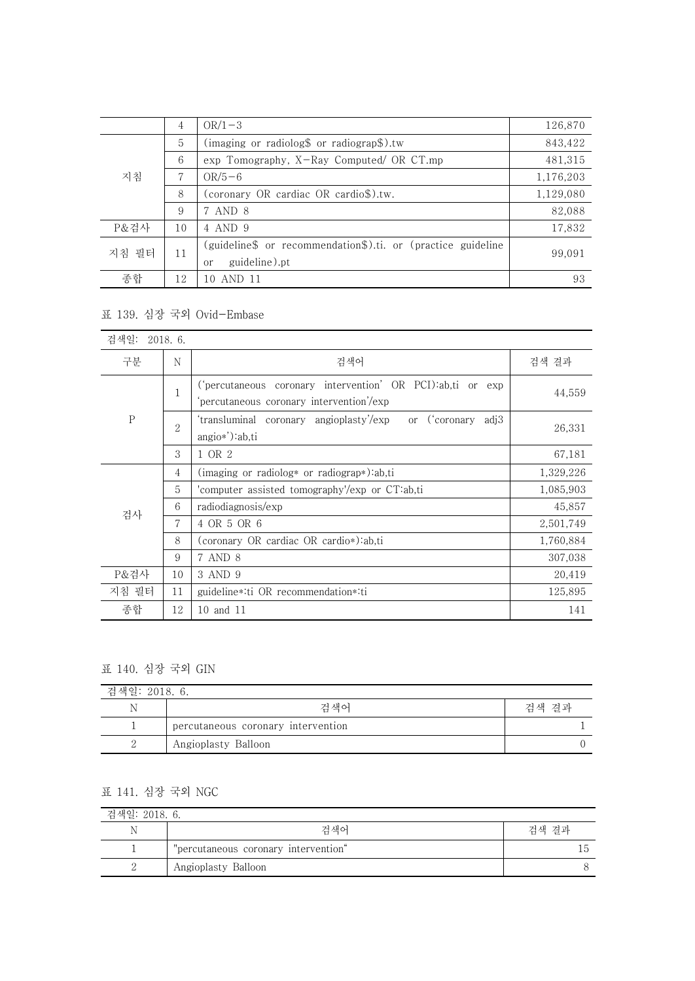|       | 4  | $OR/1-3$                                                                                       | 126,870   |
|-------|----|------------------------------------------------------------------------------------------------|-----------|
| 지침    | 5  | (imaging or radiolog\$ or radiograp\$).tw                                                      | 843,422   |
|       | 6  | $\exp$ Tomography, X-Ray Computed/ OR CT.mp                                                    | 481,315   |
|       | 7  | $OR/5-6$                                                                                       | 1,176,203 |
|       | 8  | (coronary OR cardiac OR cardio\$).tw.                                                          | 1,129,080 |
|       | 9  | 7 AND 8                                                                                        | 82,088    |
| P&검사  | 10 | 4 AND 9                                                                                        | 17,832    |
| 지침 필터 | 11 | (guideline\$ or recommendation\$).ti. or (practice guideline<br>guideline).pt<br><sub>or</sub> | 99,091    |
| 종합    | 12 | 10 AND 11                                                                                      | 93        |

## 표 139. 심장 국외 Ovid-Embase

| 검색일:      | 2018.6.        |                                                                                                      |           |
|-----------|----------------|------------------------------------------------------------------------------------------------------|-----------|
| 구분        | N              | 검색어                                                                                                  | 검색 결과     |
| ${\bf P}$ | 1              | ('percutaneous coronary intervention' OR PCI):ab,ti or exp<br>percutaneous coronary intervention/exp | 44,559    |
|           | $\overline{2}$ | 'transluminal coronary angioplasty'/exp<br>or ('coronary adj3<br>angio*'):ab,ti                      | 26,331    |
|           | 3              | 1 OR 2                                                                                               | 67,181    |
| 검사        | 4              | $(\text{imaging or radiolog* or radiograph})$ :ab,ti                                                 | 1,329,226 |
|           | 5              | 'computer assisted tomography'/exp or CT:ab,ti                                                       | 1,085,903 |
|           | 6              | radiodiagnosis/exp                                                                                   | 45,857    |
|           | 7              | 4 OR 5 OR 6                                                                                          | 2,501,749 |
|           | 8              | (coronary OR cardiac OR cardio*):ab,ti                                                               | 1,760,884 |
|           | 9              | 7 AND 8                                                                                              | 307,038   |
| P&검사      | 10             | 3 AND 9                                                                                              | 20,419    |
| 지침 필터     | 11             | guideline *: ti OR recommendation *: ti                                                              | 125,895   |
| 종합        | 12             | 10 and 11                                                                                            | 141       |

## 표 140. 심장 국외 GIN

| 검색일: 2018. 6. |                                    |       |  |
|---------------|------------------------------------|-------|--|
| N             | <u> 거 새</u> 어                      | 검색 결과 |  |
|               | percutaneous coronary intervention |       |  |
|               | Angioplasty Balloon                |       |  |

## 표 141. 심장 국외 NGC

| 검색일: 2018. 6. |                                      |       |
|---------------|--------------------------------------|-------|
|               | 검색어                                  | 검색 결과 |
|               | "percutaneous coronary intervention" | Lb    |
|               | Angioplasty Balloon                  |       |